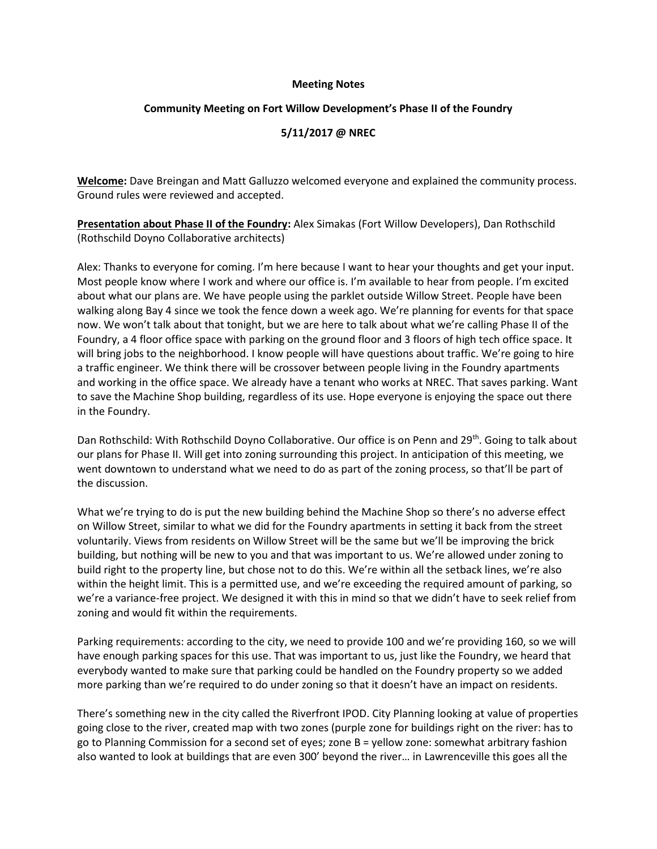#### **Meeting Notes**

### **Community Meeting on Fort Willow Development's Phase II of the Foundry**

## **5/11/2017 @ NREC**

**Welcome:** Dave Breingan and Matt Galluzzo welcomed everyone and explained the community process. Ground rules were reviewed and accepted.

**Presentation about Phase II of the Foundry:** Alex Simakas (Fort Willow Developers), Dan Rothschild (Rothschild Doyno Collaborative architects)

Alex: Thanks to everyone for coming. I'm here because I want to hear your thoughts and get your input. Most people know where I work and where our office is. I'm available to hear from people. I'm excited about what our plans are. We have people using the parklet outside Willow Street. People have been walking along Bay 4 since we took the fence down a week ago. We're planning for events for that space now. We won't talk about that tonight, but we are here to talk about what we're calling Phase II of the Foundry, a 4 floor office space with parking on the ground floor and 3 floors of high tech office space. It will bring jobs to the neighborhood. I know people will have questions about traffic. We're going to hire a traffic engineer. We think there will be crossover between people living in the Foundry apartments and working in the office space. We already have a tenant who works at NREC. That saves parking. Want to save the Machine Shop building, regardless of its use. Hope everyone is enjoying the space out there in the Foundry.

Dan Rothschild: With Rothschild Doyno Collaborative. Our office is on Penn and 29<sup>th</sup>. Going to talk about our plans for Phase II. Will get into zoning surrounding this project. In anticipation of this meeting, we went downtown to understand what we need to do as part of the zoning process, so that'll be part of the discussion.

What we're trying to do is put the new building behind the Machine Shop so there's no adverse effect on Willow Street, similar to what we did for the Foundry apartments in setting it back from the street voluntarily. Views from residents on Willow Street will be the same but we'll be improving the brick building, but nothing will be new to you and that was important to us. We're allowed under zoning to build right to the property line, but chose not to do this. We're within all the setback lines, we're also within the height limit. This is a permitted use, and we're exceeding the required amount of parking, so we're a variance-free project. We designed it with this in mind so that we didn't have to seek relief from zoning and would fit within the requirements.

Parking requirements: according to the city, we need to provide 100 and we're providing 160, so we will have enough parking spaces for this use. That was important to us, just like the Foundry, we heard that everybody wanted to make sure that parking could be handled on the Foundry property so we added more parking than we're required to do under zoning so that it doesn't have an impact on residents.

There's something new in the city called the Riverfront IPOD. City Planning looking at value of properties going close to the river, created map with two zones (purple zone for buildings right on the river: has to go to Planning Commission for a second set of eyes; zone B = yellow zone: somewhat arbitrary fashion also wanted to look at buildings that are even 300' beyond the river… in Lawrenceville this goes all the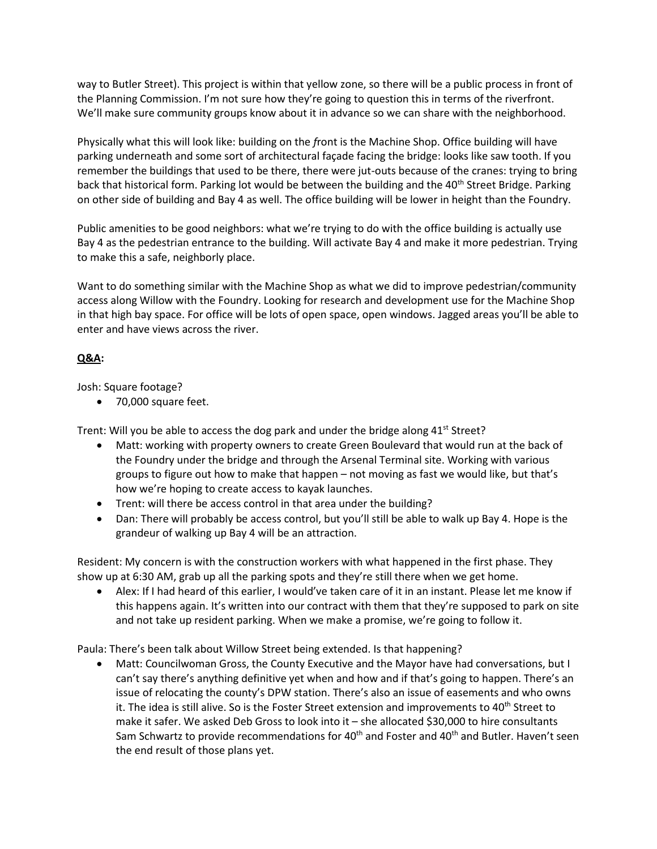way to Butler Street). This project is within that yellow zone, so there will be a public process in front of the Planning Commission. I'm not sure how they're going to question this in terms of the riverfront. We'll make sure community groups know about it in advance so we can share with the neighborhood.

Physically what this will look like: building on the *f*ront is the Machine Shop. Office building will have parking underneath and some sort of architectural façade facing the bridge: looks like saw tooth. If you remember the buildings that used to be there, there were jut-outs because of the cranes: trying to bring back that historical form. Parking lot would be between the building and the 40<sup>th</sup> Street Bridge. Parking on other side of building and Bay 4 as well. The office building will be lower in height than the Foundry.

Public amenities to be good neighbors: what we're trying to do with the office building is actually use Bay 4 as the pedestrian entrance to the building. Will activate Bay 4 and make it more pedestrian. Trying to make this a safe, neighborly place.

Want to do something similar with the Machine Shop as what we did to improve pedestrian/community access along Willow with the Foundry. Looking for research and development use for the Machine Shop in that high bay space. For office will be lots of open space, open windows. Jagged areas you'll be able to enter and have views across the river.

# **Q&A:**

Josh: Square footage?

70,000 square feet.

Trent: Will you be able to access the dog park and under the bridge along  $41<sup>st</sup>$  Street?

- Matt: working with property owners to create Green Boulevard that would run at the back of the Foundry under the bridge and through the Arsenal Terminal site. Working with various groups to figure out how to make that happen – not moving as fast we would like, but that's how we're hoping to create access to kayak launches.
- Trent: will there be access control in that area under the building?
- Dan: There will probably be access control, but you'll still be able to walk up Bay 4. Hope is the grandeur of walking up Bay 4 will be an attraction.

Resident: My concern is with the construction workers with what happened in the first phase. They show up at 6:30 AM, grab up all the parking spots and they're still there when we get home.

 Alex: If I had heard of this earlier, I would've taken care of it in an instant. Please let me know if this happens again. It's written into our contract with them that they're supposed to park on site and not take up resident parking. When we make a promise, we're going to follow it.

Paula: There's been talk about Willow Street being extended. Is that happening?

 Matt: Councilwoman Gross, the County Executive and the Mayor have had conversations, but I can't say there's anything definitive yet when and how and if that's going to happen. There's an issue of relocating the county's DPW station. There's also an issue of easements and who owns it. The idea is still alive. So is the Foster Street extension and improvements to 40<sup>th</sup> Street to make it safer. We asked Deb Gross to look into it – she allocated \$30,000 to hire consultants Sam Schwartz to provide recommendations for  $40<sup>th</sup>$  and Foster and  $40<sup>th</sup>$  and Butler. Haven't seen the end result of those plans yet.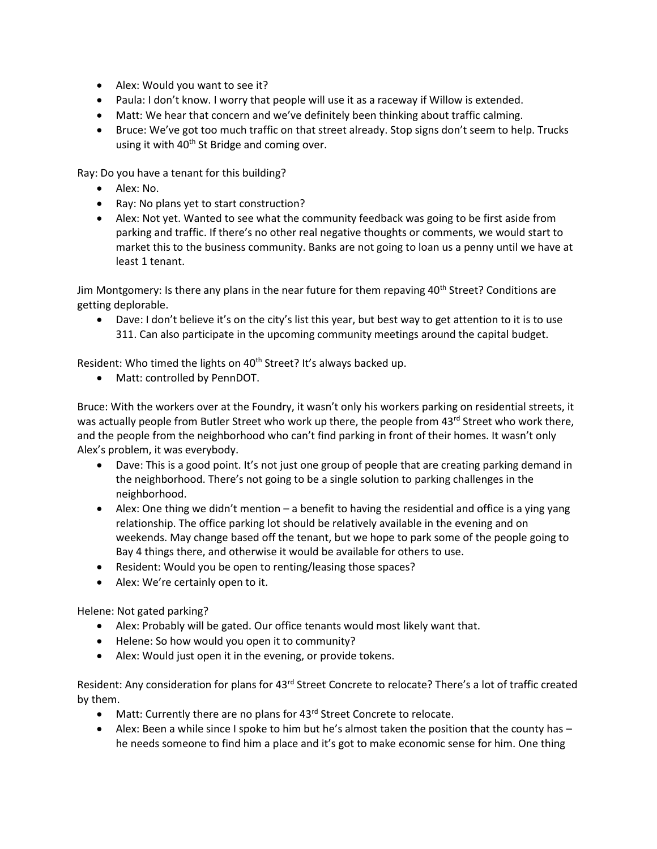- Alex: Would you want to see it?
- Paula: I don't know. I worry that people will use it as a raceway if Willow is extended.
- Matt: We hear that concern and we've definitely been thinking about traffic calming.
- Bruce: We've got too much traffic on that street already. Stop signs don't seem to help. Trucks using it with  $40<sup>th</sup>$  St Bridge and coming over.

Ray: Do you have a tenant for this building?

- Alex: No.
- Ray: No plans yet to start construction?
- Alex: Not yet. Wanted to see what the community feedback was going to be first aside from parking and traffic. If there's no other real negative thoughts or comments, we would start to market this to the business community. Banks are not going to loan us a penny until we have at least 1 tenant.

Jim Montgomery: Is there any plans in the near future for them repaving  $40<sup>th</sup>$  Street? Conditions are getting deplorable.

 Dave: I don't believe it's on the city's list this year, but best way to get attention to it is to use 311. Can also participate in the upcoming community meetings around the capital budget.

Resident: Who timed the lights on 40<sup>th</sup> Street? It's always backed up.

Matt: controlled by PennDOT.

Bruce: With the workers over at the Foundry, it wasn't only his workers parking on residential streets, it was actually people from Butler Street who work up there, the people from 43rd Street who work there, and the people from the neighborhood who can't find parking in front of their homes. It wasn't only Alex's problem, it was everybody.

- Dave: This is a good point. It's not just one group of people that are creating parking demand in the neighborhood. There's not going to be a single solution to parking challenges in the neighborhood.
- $\bullet$  Alex: One thing we didn't mention a benefit to having the residential and office is a ying yang relationship. The office parking lot should be relatively available in the evening and on weekends. May change based off the tenant, but we hope to park some of the people going to Bay 4 things there, and otherwise it would be available for others to use.
- Resident: Would you be open to renting/leasing those spaces?
- Alex: We're certainly open to it.

Helene: Not gated parking?

- Alex: Probably will be gated. Our office tenants would most likely want that.
- Helene: So how would you open it to community?
- Alex: Would just open it in the evening, or provide tokens.

Resident: Any consideration for plans for 43<sup>rd</sup> Street Concrete to relocate? There's a lot of traffic created by them.

- Matt: Currently there are no plans for 43<sup>rd</sup> Street Concrete to relocate.
- Alex: Been a while since I spoke to him but he's almost taken the position that the county has he needs someone to find him a place and it's got to make economic sense for him. One thing